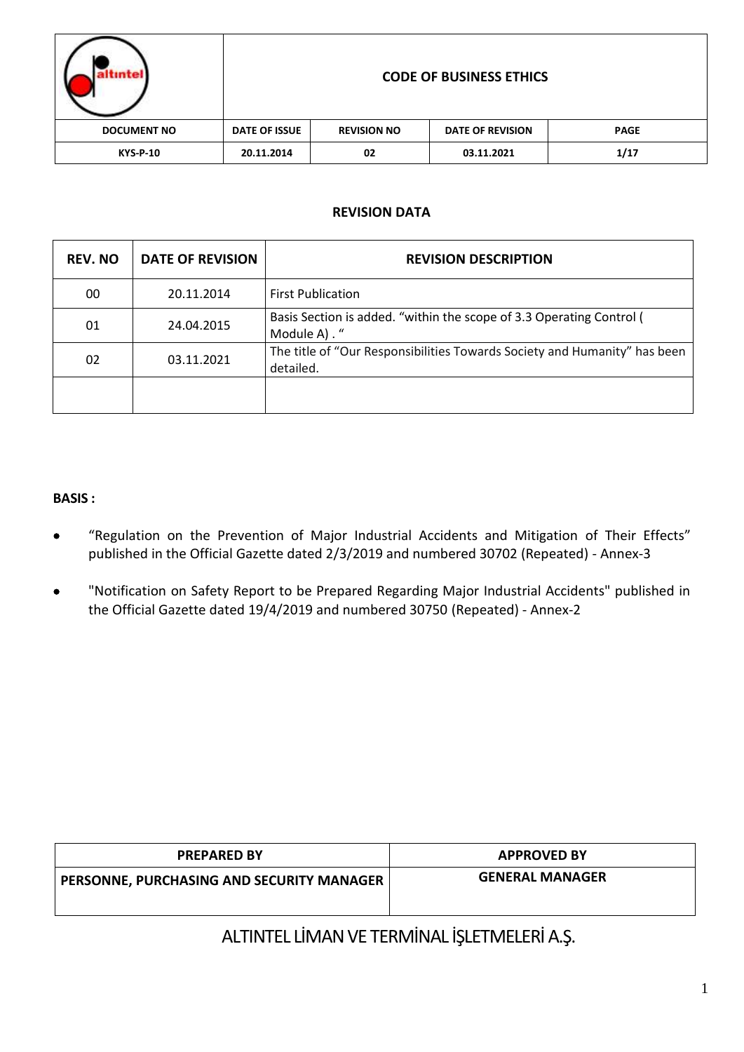| <i>intel</i>       |                      |                    | <b>CODE OF BUSINESS ETHICS</b> |             |
|--------------------|----------------------|--------------------|--------------------------------|-------------|
| <b>DOCUMENT NO</b> | <b>DATE OF ISSUE</b> | <b>REVISION NO</b> | <b>DATE OF REVISION</b>        | <b>PAGE</b> |
| <b>KYS-P-10</b>    | 20.11.2014           | 02                 | 03.11.2021                     | 1/17        |

### **REVISION DATA**

| <b>REV. NO</b> | <b>DATE OF REVISION</b> | <b>REVISION DESCRIPTION</b>                                                            |
|----------------|-------------------------|----------------------------------------------------------------------------------------|
| 00             | 20.11.2014              | <b>First Publication</b>                                                               |
| 01             | 24.04.2015              | Basis Section is added. "within the scope of 3.3 Operating Control (<br>Module A). "   |
| 02             | 03.11.2021              | The title of "Our Responsibilities Towards Society and Humanity" has been<br>detailed. |
|                |                         |                                                                                        |

#### **BASIS :**

- "Regulation on the Prevention of Major Industrial Accidents and Mitigation of Their Effects" published in the Official Gazette dated 2/3/2019 and numbered 30702 (Repeated) - Annex-3
- "Notification on Safety Report to be Prepared Regarding Major Industrial Accidents" published in the Official Gazette dated 19/4/2019 and numbered 30750 (Repeated) - Annex-2

| <b>PREPARED BY</b>                               | <b>APPROVED BY</b>     |  |
|--------------------------------------------------|------------------------|--|
| <b>PERSONNE, PURCHASING AND SECURITY MANAGER</b> | <b>GENERAL MANAGER</b> |  |
|                                                  |                        |  |

ALTINTEL LİMAN VE TERMİNAL İŞLETMELERİ A.Ş.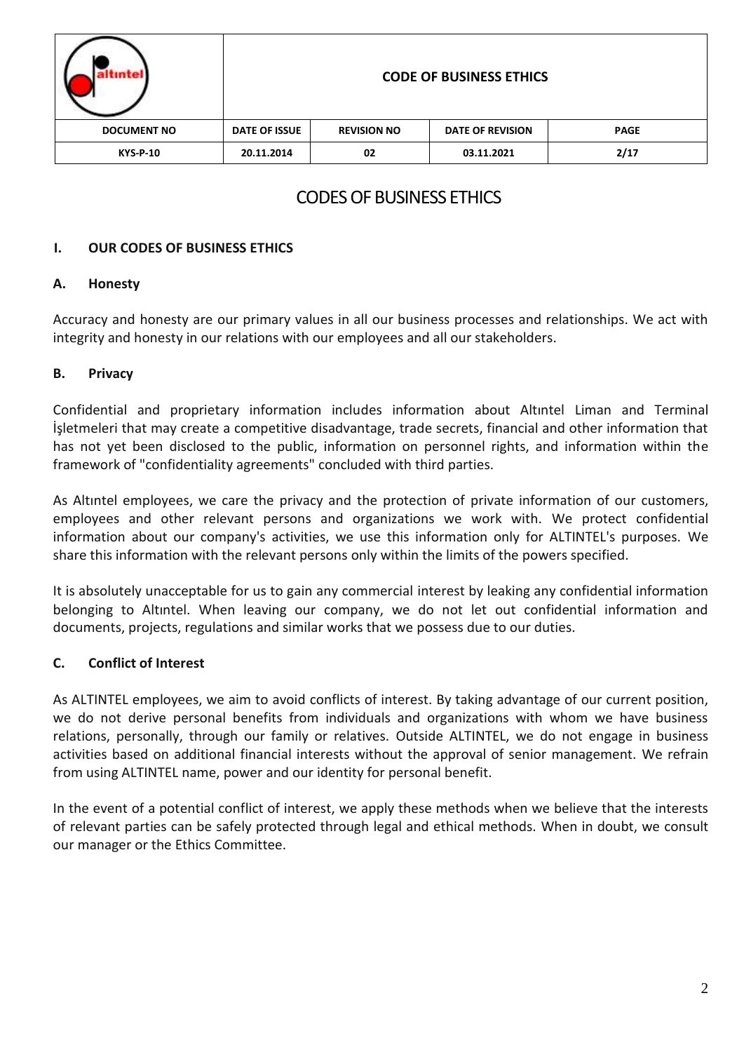|                    | <b>CODE OF BUSINESS ETHICS</b> |                    |                         |             |
|--------------------|--------------------------------|--------------------|-------------------------|-------------|
| <b>DOCUMENT NO</b> | <b>DATE OF ISSUE</b>           | <b>REVISION NO</b> | <b>DATE OF REVISION</b> | <b>PAGE</b> |
| <b>KYS-P-10</b>    | 20.11.2014                     | 02                 | 03.11.2021              | 2/17        |

# CODES OF BUSINESS ETHICS

### **I. OUR CODES OF BUSINESS ETHICS**

### **A. Honesty**

Accuracy and honesty are our primary values in all our business processes and relationships. We act with integrity and honesty in our relations with our employees and all our stakeholders.

### **B. Privacy**

Confidential and proprietary information includes information about Altıntel Liman and Terminal İşletmeleri that may create a competitive disadvantage, trade secrets, financial and other information that has not yet been disclosed to the public, information on personnel rights, and information within the framework of "confidentiality agreements" concluded with third parties.

As Altıntel employees, we care the privacy and the protection of private information of our customers, employees and other relevant persons and organizations we work with. We protect confidential information about our company's activities, we use this information only for ALTINTEL's purposes. We share this information with the relevant persons only within the limits of the powers specified.

It is absolutely unacceptable for us to gain any commercial interest by leaking any confidential information belonging to Altıntel. When leaving our company, we do not let out confidential information and documents, projects, regulations and similar works that we possess due to our duties.

### **C. Conflict of Interest**

As ALTINTEL employees, we aim to avoid conflicts of interest. By taking advantage of our current position, we do not derive personal benefits from individuals and organizations with whom we have business relations, personally, through our family or relatives. Outside ALTINTEL, we do not engage in business activities based on additional financial interests without the approval of senior management. We refrain from using ALTINTEL name, power and our identity for personal benefit.

In the event of a potential conflict of interest, we apply these methods when we believe that the interests of relevant parties can be safely protected through legal and ethical methods. When in doubt, we consult our manager or the Ethics Committee.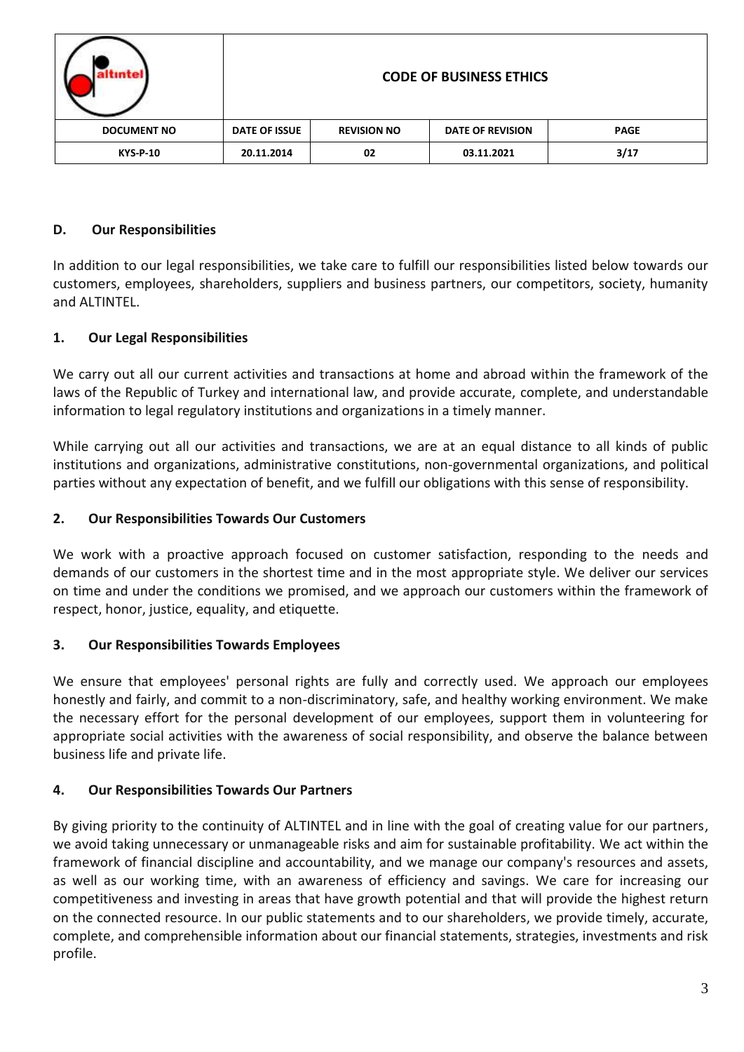|                    |                      |                    | <b>CODE OF BUSINESS ETHICS</b> |             |
|--------------------|----------------------|--------------------|--------------------------------|-------------|
| <b>DOCUMENT NO</b> | <b>DATE OF ISSUE</b> | <b>REVISION NO</b> | <b>DATE OF REVISION</b>        | <b>PAGE</b> |
| <b>KYS-P-10</b>    | 20.11.2014           | 02                 | 03.11.2021                     | 3/17        |

# **D. Our Responsibilities**

In addition to our legal responsibilities, we take care to fulfill our responsibilities listed below towards our customers, employees, shareholders, suppliers and business partners, our competitors, society, humanity and ALTINTEL.

# **1. Our Legal Responsibilities**

We carry out all our current activities and transactions at home and abroad within the framework of the laws of the Republic of Turkey and international law, and provide accurate, complete, and understandable information to legal regulatory institutions and organizations in a timely manner.

While carrying out all our activities and transactions, we are at an equal distance to all kinds of public institutions and organizations, administrative constitutions, non-governmental organizations, and political parties without any expectation of benefit, and we fulfill our obligations with this sense of responsibility.

# **2. Our Responsibilities Towards Our Customers**

We work with a proactive approach focused on customer satisfaction, responding to the needs and demands of our customers in the shortest time and in the most appropriate style. We deliver our services on time and under the conditions we promised, and we approach our customers within the framework of respect, honor, justice, equality, and etiquette.

# **3. Our Responsibilities Towards Employees**

We ensure that employees' personal rights are fully and correctly used. We approach our employees honestly and fairly, and commit to a non-discriminatory, safe, and healthy working environment. We make the necessary effort for the personal development of our employees, support them in volunteering for appropriate social activities with the awareness of social responsibility, and observe the balance between business life and private life.

# **4. Our Responsibilities Towards Our Partners**

By giving priority to the continuity of ALTINTEL and in line with the goal of creating value for our partners, we avoid taking unnecessary or unmanageable risks and aim for sustainable profitability. We act within the framework of financial discipline and accountability, and we manage our company's resources and assets, as well as our working time, with an awareness of efficiency and savings. We care for increasing our competitiveness and investing in areas that have growth potential and that will provide the highest return on the connected resource. In our public statements and to our shareholders, we provide timely, accurate, complete, and comprehensible information about our financial statements, strategies, investments and risk profile.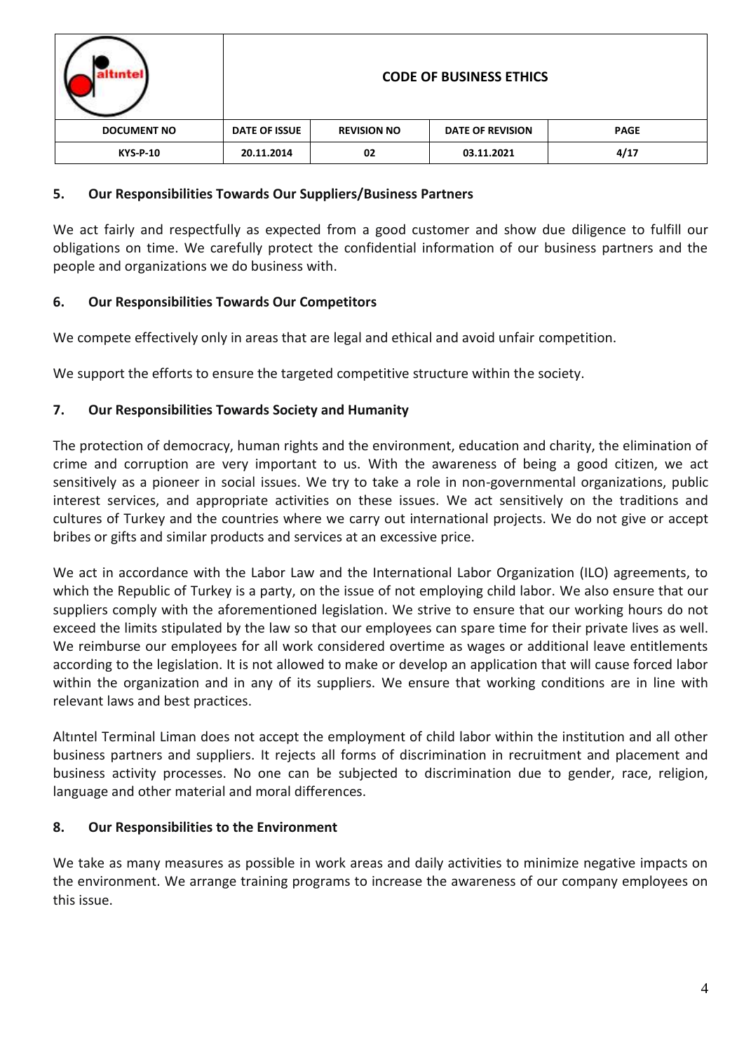| "nte-              | <b>CODE OF BUSINESS ETHICS</b> |                    |                         |             |  |
|--------------------|--------------------------------|--------------------|-------------------------|-------------|--|
| <b>DOCUMENT NO</b> | <b>DATE OF ISSUE</b>           | <b>REVISION NO</b> | <b>DATE OF REVISION</b> | <b>PAGE</b> |  |
| <b>KYS-P-10</b>    | 20.11.2014                     | 02                 | 03.11.2021              | 4/17        |  |

### **5. Our Responsibilities Towards Our Suppliers/Business Partners**

We act fairly and respectfully as expected from a good customer and show due diligence to fulfill our obligations on time. We carefully protect the confidential information of our business partners and the people and organizations we do business with.

### **6. Our Responsibilities Towards Our Competitors**

We compete effectively only in areas that are legal and ethical and avoid unfair competition.

We support the efforts to ensure the targeted competitive structure within the society.

### **7. Our Responsibilities Towards Society and Humanity**

The protection of democracy, human rights and the environment, education and charity, the elimination of crime and corruption are very important to us. With the awareness of being a good citizen, we act sensitively as a pioneer in social issues. We try to take a role in non-governmental organizations, public interest services, and appropriate activities on these issues. We act sensitively on the traditions and cultures of Turkey and the countries where we carry out international projects. We do not give or accept bribes or gifts and similar products and services at an excessive price.

We act in accordance with the Labor Law and the International Labor Organization (ILO) agreements, to which the Republic of Turkey is a party, on the issue of not employing child labor. We also ensure that our suppliers comply with the aforementioned legislation. We strive to ensure that our working hours do not exceed the limits stipulated by the law so that our employees can spare time for their private lives as well. We reimburse our employees for all work considered overtime as wages or additional leave entitlements according to the legislation. It is not allowed to make or develop an application that will cause forced labor within the organization and in any of its suppliers. We ensure that working conditions are in line with relevant laws and best practices.

Altıntel Terminal Liman does not accept the employment of child labor within the institution and all other business partners and suppliers. It rejects all forms of discrimination in recruitment and placement and business activity processes. No one can be subjected to discrimination due to gender, race, religion, language and other material and moral differences.

### **8. Our Responsibilities to the Environment**

We take as many measures as possible in work areas and daily activities to minimize negative impacts on the environment. We arrange training programs to increase the awareness of our company employees on this issue.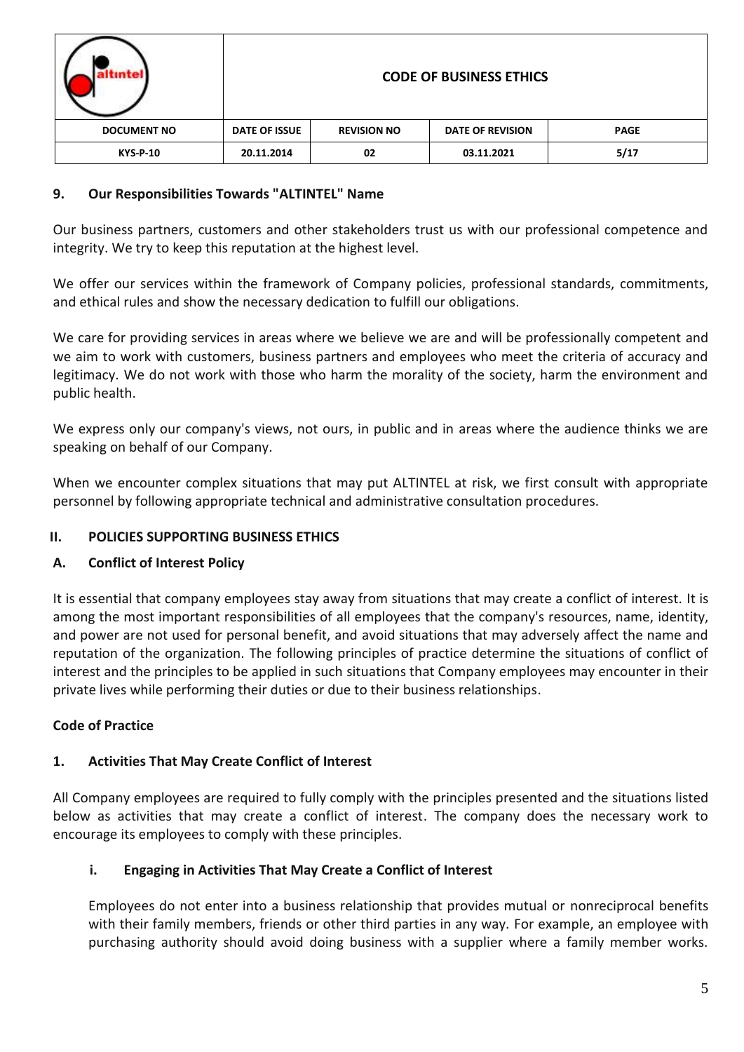|                    |               |                    | <b>CODE OF BUSINESS ETHICS</b> |             |
|--------------------|---------------|--------------------|--------------------------------|-------------|
| <b>DOCUMENT NO</b> | DATE OF ISSUE | <b>REVISION NO</b> | <b>DATE OF REVISION</b>        | <b>PAGE</b> |
| <b>KYS-P-10</b>    | 20.11.2014    | 02                 | 03.11.2021                     | 5/17        |

### **9. Our Responsibilities Towards "ALTINTEL" Name**

Our business partners, customers and other stakeholders trust us with our professional competence and integrity. We try to keep this reputation at the highest level.

We offer our services within the framework of Company policies, professional standards, commitments, and ethical rules and show the necessary dedication to fulfill our obligations.

We care for providing services in areas where we believe we are and will be professionally competent and we aim to work with customers, business partners and employees who meet the criteria of accuracy and legitimacy. We do not work with those who harm the morality of the society, harm the environment and public health.

We express only our company's views, not ours, in public and in areas where the audience thinks we are speaking on behalf of our Company.

When we encounter complex situations that may put ALTINTEL at risk, we first consult with appropriate personnel by following appropriate technical and administrative consultation procedures.

# **II. POLICIES SUPPORTING BUSINESS ETHICS**

### **A. Conflict of Interest Policy**

It is essential that company employees stay away from situations that may create a conflict of interest. It is among the most important responsibilities of all employees that the company's resources, name, identity, and power are not used for personal benefit, and avoid situations that may adversely affect the name and reputation of the organization. The following principles of practice determine the situations of conflict of interest and the principles to be applied in such situations that Company employees may encounter in their private lives while performing their duties or due to their business relationships.

# **Code of Practice**

### **1. Activities That May Create Conflict of Interest**

All Company employees are required to fully comply with the principles presented and the situations listed below as activities that may create a conflict of interest. The company does the necessary work to encourage its employees to comply with these principles.

### **i. Engaging in Activities That May Create a Conflict of Interest**

Employees do not enter into a business relationship that provides mutual or nonreciprocal benefits with their family members, friends or other third parties in any way. For example, an employee with purchasing authority should avoid doing business with a supplier where a family member works.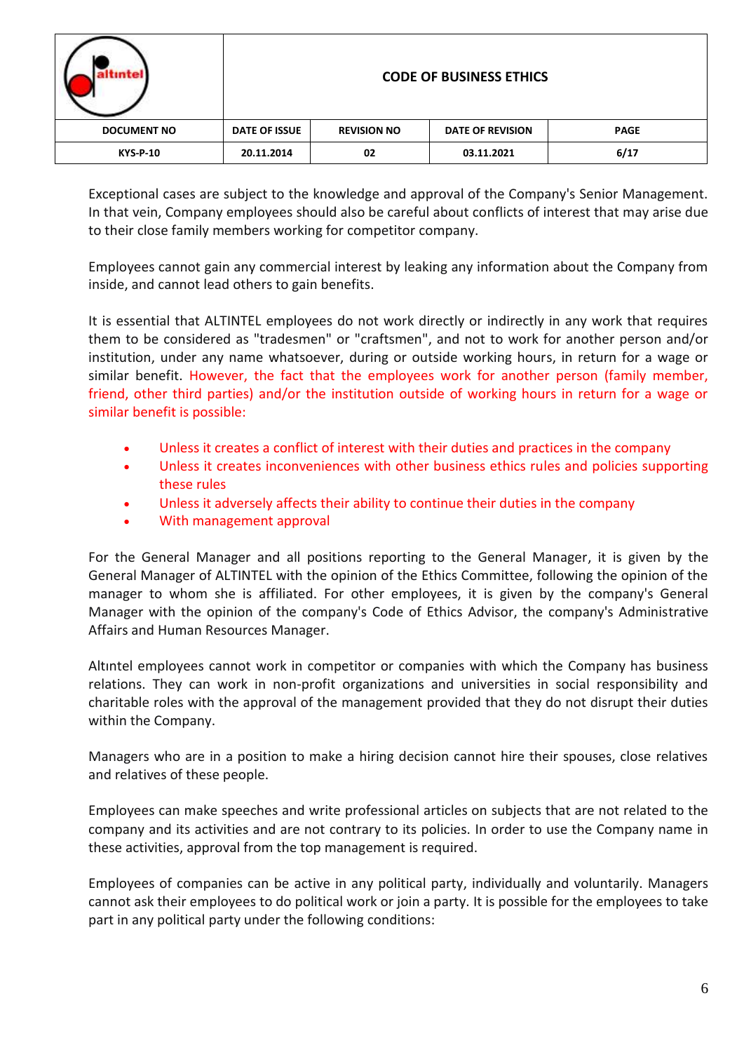| intel              |                      |                    | <b>CODE OF BUSINESS ETHICS</b> |             |
|--------------------|----------------------|--------------------|--------------------------------|-------------|
| <b>DOCUMENT NO</b> | <b>DATE OF ISSUE</b> | <b>REVISION NO</b> | <b>DATE OF REVISION</b>        | <b>PAGE</b> |
| <b>KYS-P-10</b>    | 20.11.2014           | 02                 | 03.11.2021                     | 6/17        |

Exceptional cases are subject to the knowledge and approval of the Company's Senior Management. In that vein, Company employees should also be careful about conflicts of interest that may arise due to their close family members working for competitor company.

Employees cannot gain any commercial interest by leaking any information about the Company from inside, and cannot lead others to gain benefits.

It is essential that ALTINTEL employees do not work directly or indirectly in any work that requires them to be considered as "tradesmen" or "craftsmen", and not to work for another person and/or institution, under any name whatsoever, during or outside working hours, in return for a wage or similar benefit. However, the fact that the employees work for another person (family member, friend, other third parties) and/or the institution outside of working hours in return for a wage or similar benefit is possible:

- Unless it creates a conflict of interest with their duties and practices in the company
- Unless it creates inconveniences with other business ethics rules and policies supporting these rules
- Unless it adversely affects their ability to continue their duties in the company
- With management approval

For the General Manager and all positions reporting to the General Manager, it is given by the General Manager of ALTINTEL with the opinion of the Ethics Committee, following the opinion of the manager to whom she is affiliated. For other employees, it is given by the company's General Manager with the opinion of the company's Code of Ethics Advisor, the company's Administrative Affairs and Human Resources Manager.

Altıntel employees cannot work in competitor or companies with which the Company has business relations. They can work in non-profit organizations and universities in social responsibility and charitable roles with the approval of the management provided that they do not disrupt their duties within the Company.

Managers who are in a position to make a hiring decision cannot hire their spouses, close relatives and relatives of these people.

Employees can make speeches and write professional articles on subjects that are not related to the company and its activities and are not contrary to its policies. In order to use the Company name in these activities, approval from the top management is required.

Employees of companies can be active in any political party, individually and voluntarily. Managers cannot ask their employees to do political work or join a party. It is possible for the employees to take part in any political party under the following conditions: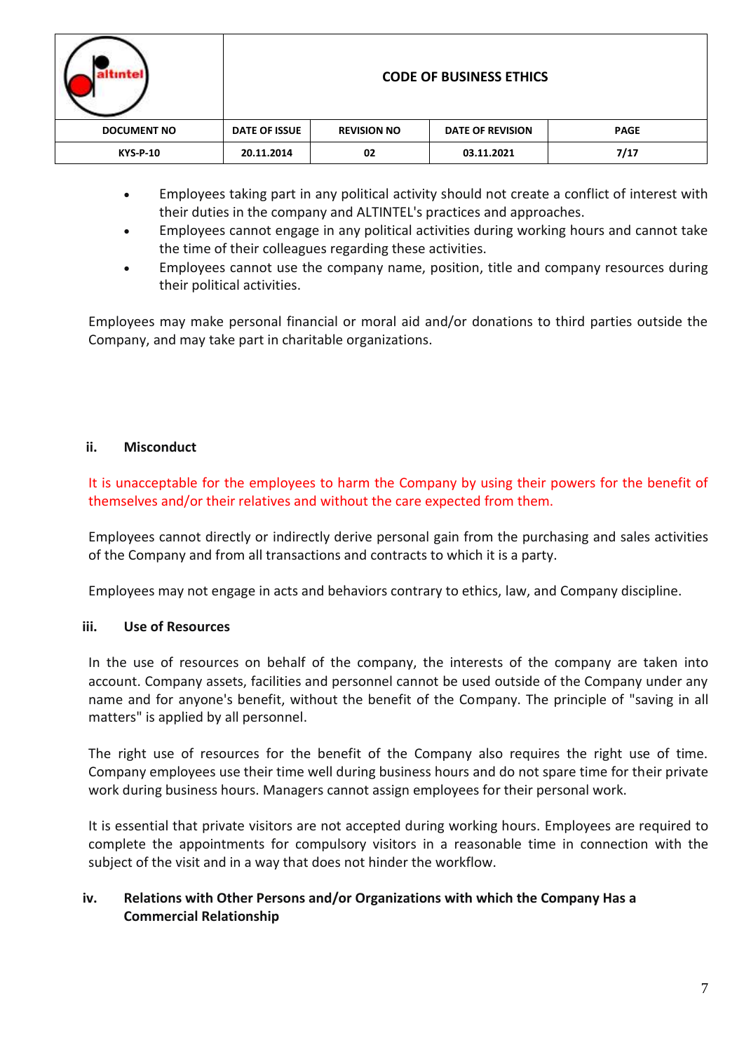| intel              |               |                    | <b>CODE OF BUSINESS ETHICS</b> |             |
|--------------------|---------------|--------------------|--------------------------------|-------------|
| <b>DOCUMENT NO</b> | DATE OF ISSUE | <b>REVISION NO</b> | <b>DATE OF REVISION</b>        | <b>PAGE</b> |
| <b>KYS-P-10</b>    | 20.11.2014    | 02                 | 03.11.2021                     | 7/17        |

- Employees taking part in any political activity should not create a conflict of interest with their duties in the company and ALTINTEL's practices and approaches.
- Employees cannot engage in any political activities during working hours and cannot take the time of their colleagues regarding these activities.
- Employees cannot use the company name, position, title and company resources during their political activities.

Employees may make personal financial or moral aid and/or donations to third parties outside the Company, and may take part in charitable organizations.

### **ii. Misconduct**

It is unacceptable for the employees to harm the Company by using their powers for the benefit of themselves and/or their relatives and without the care expected from them.

Employees cannot directly or indirectly derive personal gain from the purchasing and sales activities of the Company and from all transactions and contracts to which it is a party.

Employees may not engage in acts and behaviors contrary to ethics, law, and Company discipline.

### **iii. Use of Resources**

In the use of resources on behalf of the company, the interests of the company are taken into account. Company assets, facilities and personnel cannot be used outside of the Company under any name and for anyone's benefit, without the benefit of the Company. The principle of "saving in all matters" is applied by all personnel.

The right use of resources for the benefit of the Company also requires the right use of time. Company employees use their time well during business hours and do not spare time for their private work during business hours. Managers cannot assign employees for their personal work.

It is essential that private visitors are not accepted during working hours. Employees are required to complete the appointments for compulsory visitors in a reasonable time in connection with the subject of the visit and in a way that does not hinder the workflow.

### **iv. Relations with Other Persons and/or Organizations with which the Company Has a Commercial Relationship**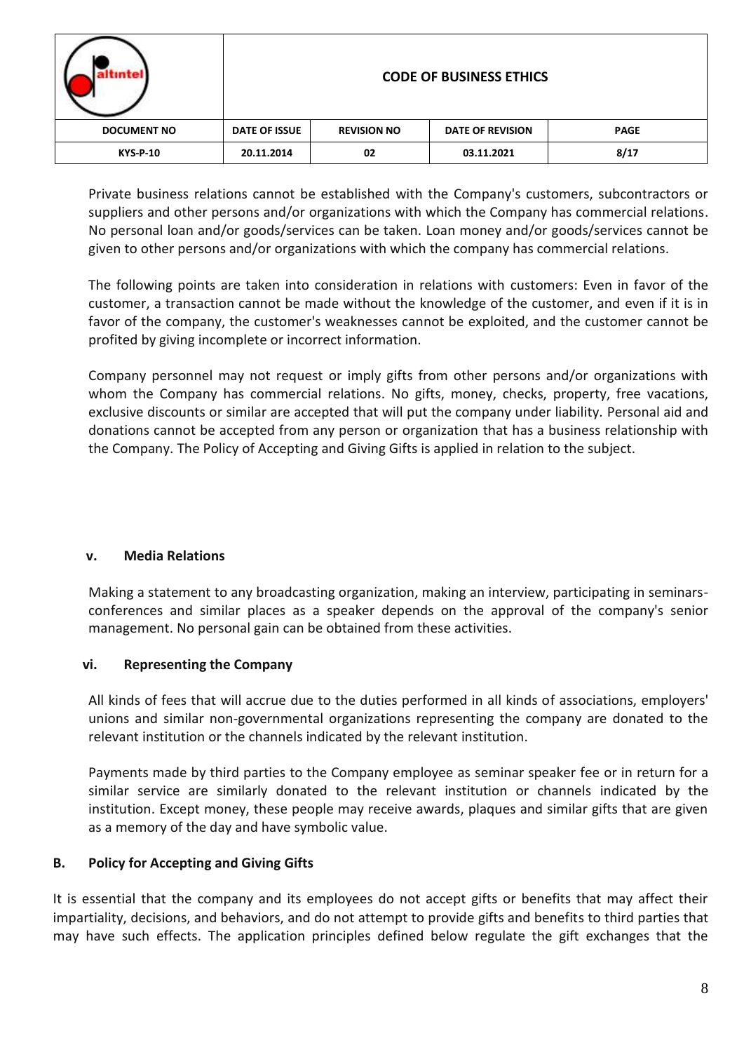| tintel             |                      |                    | <b>CODE OF BUSINESS ETHICS</b> |             |
|--------------------|----------------------|--------------------|--------------------------------|-------------|
| <b>DOCUMENT NO</b> | <b>DATE OF ISSUE</b> | <b>REVISION NO</b> | <b>DATE OF REVISION</b>        | <b>PAGE</b> |
| <b>KYS-P-10</b>    | 20.11.2014           | 02                 | 03.11.2021                     | 8/17        |

Private business relations cannot be established with the Company's customers, subcontractors or suppliers and other persons and/or organizations with which the Company has commercial relations. No personal loan and/or goods/services can be taken. Loan money and/or goods/services cannot be given to other persons and/or organizations with which the company has commercial relations.

The following points are taken into consideration in relations with customers: Even in favor of the customer, a transaction cannot be made without the knowledge of the customer, and even if it is in favor of the company, the customer's weaknesses cannot be exploited, and the customer cannot be profited by giving incomplete or incorrect information.

Company personnel may not request or imply gifts from other persons and/or organizations with whom the Company has commercial relations. No gifts, money, checks, property, free vacations, exclusive discounts or similar are accepted that will put the company under liability. Personal aid and donations cannot be accepted from any person or organization that has a business relationship with the Company. The Policy of Accepting and Giving Gifts is applied in relation to the subject.

### **v. Media Relations**

Making a statement to any broadcasting organization, making an interview, participating in seminarsconferences and similar places as a speaker depends on the approval of the company's senior management. No personal gain can be obtained from these activities.

### **vi. Representing the Company**

All kinds of fees that will accrue due to the duties performed in all kinds of associations, employers' unions and similar non-governmental organizations representing the company are donated to the relevant institution or the channels indicated by the relevant institution.

Payments made by third parties to the Company employee as seminar speaker fee or in return for a similar service are similarly donated to the relevant institution or channels indicated by the institution. Except money, these people may receive awards, plaques and similar gifts that are given as a memory of the day and have symbolic value.

# **B. Policy for Accepting and Giving Gifts**

It is essential that the company and its employees do not accept gifts or benefits that may affect their impartiality, decisions, and behaviors, and do not attempt to provide gifts and benefits to third parties that may have such effects. The application principles defined below regulate the gift exchanges that the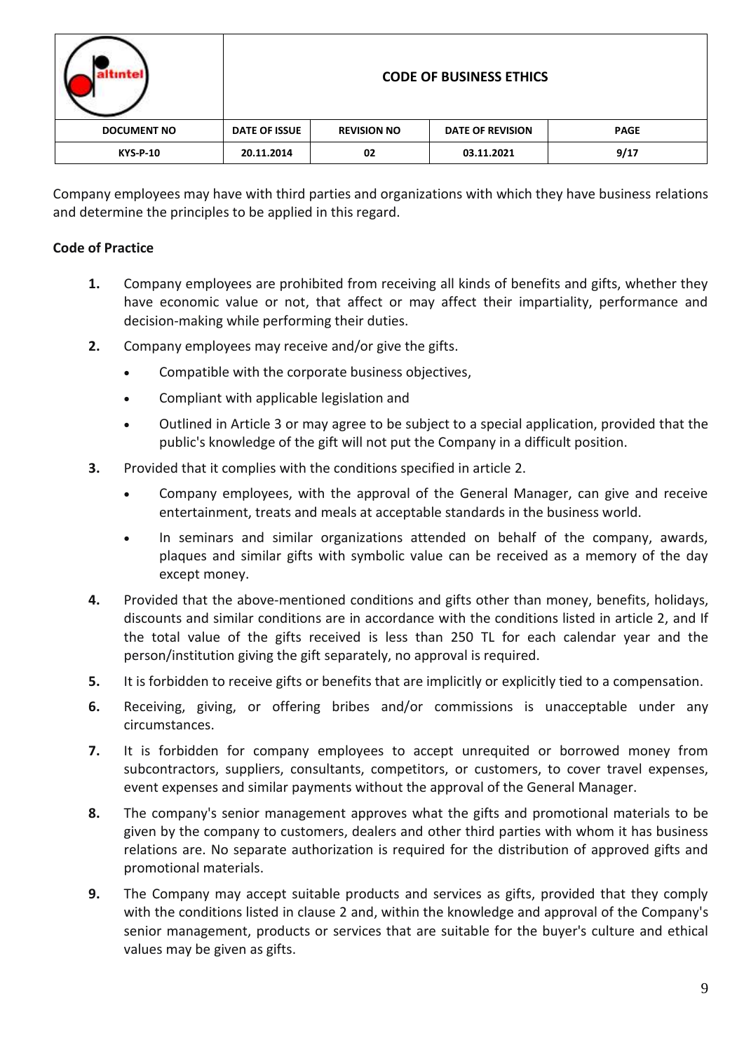|                    | <b>CODE OF BUSINESS ETHICS</b> |                    |                         |             |  |
|--------------------|--------------------------------|--------------------|-------------------------|-------------|--|
| <b>DOCUMENT NO</b> | <b>DATE OF ISSUE</b>           | <b>REVISION NO</b> | <b>DATE OF REVISION</b> | <b>PAGE</b> |  |
| <b>KYS-P-10</b>    | 20.11.2014                     | 02                 | 03.11.2021              | 9/17        |  |

Company employees may have with third parties and organizations with which they have business relations and determine the principles to be applied in this regard.

# **Code of Practice**

- **1.** Company employees are prohibited from receiving all kinds of benefits and gifts, whether they have economic value or not, that affect or may affect their impartiality, performance and decision-making while performing their duties.
- **2.** Company employees may receive and/or give the gifts.
	- Compatible with the corporate business objectives,
	- Compliant with applicable legislation and
	- Outlined in Article 3 or may agree to be subject to a special application, provided that the public's knowledge of the gift will not put the Company in a difficult position.
- **3.** Provided that it complies with the conditions specified in article 2.
	- Company employees, with the approval of the General Manager, can give and receive entertainment, treats and meals at acceptable standards in the business world.
	- In seminars and similar organizations attended on behalf of the company, awards, plaques and similar gifts with symbolic value can be received as a memory of the day except money.
- **4.** Provided that the above-mentioned conditions and gifts other than money, benefits, holidays, discounts and similar conditions are in accordance with the conditions listed in article 2, and If the total value of the gifts received is less than 250 TL for each calendar year and the person/institution giving the gift separately, no approval is required.
- **5.** It is forbidden to receive gifts or benefits that are implicitly or explicitly tied to a compensation.
- **6.** Receiving, giving, or offering bribes and/or commissions is unacceptable under any circumstances.
- **7.** It is forbidden for company employees to accept unrequited or borrowed money from subcontractors, suppliers, consultants, competitors, or customers, to cover travel expenses, event expenses and similar payments without the approval of the General Manager.
- **8.** The company's senior management approves what the gifts and promotional materials to be given by the company to customers, dealers and other third parties with whom it has business relations are. No separate authorization is required for the distribution of approved gifts and promotional materials.
- **9.** The Company may accept suitable products and services as gifts, provided that they comply with the conditions listed in clause 2 and, within the knowledge and approval of the Company's senior management, products or services that are suitable for the buyer's culture and ethical values may be given as gifts.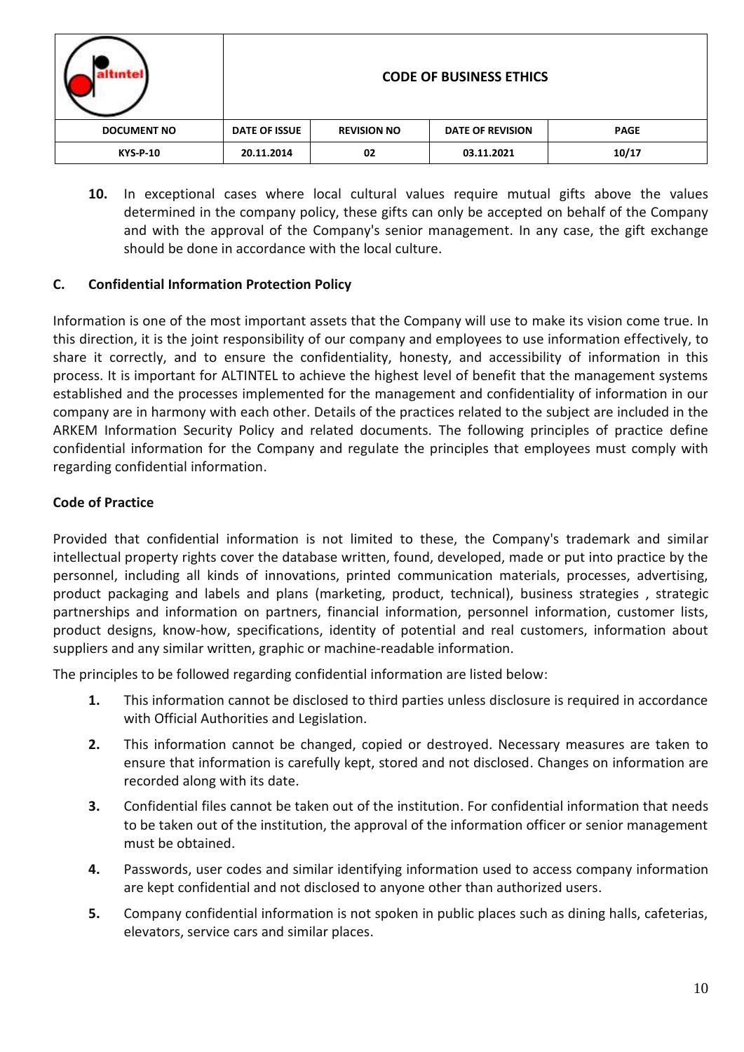|                    |               |                    | <b>CODE OF BUSINESS ETHICS</b> |             |
|--------------------|---------------|--------------------|--------------------------------|-------------|
| <b>DOCUMENT NO</b> | DATE OF ISSUE | <b>REVISION NO</b> | <b>DATE OF REVISION</b>        | <b>PAGE</b> |
| <b>KYS-P-10</b>    | 20.11.2014    | 02                 | 03.11.2021                     | 10/17       |

**10.** In exceptional cases where local cultural values require mutual gifts above the values determined in the company policy, these gifts can only be accepted on behalf of the Company and with the approval of the Company's senior management. In any case, the gift exchange should be done in accordance with the local culture.

### **C. Confidential Information Protection Policy**

Information is one of the most important assets that the Company will use to make its vision come true. In this direction, it is the joint responsibility of our company and employees to use information effectively, to share it correctly, and to ensure the confidentiality, honesty, and accessibility of information in this process. It is important for ALTINTEL to achieve the highest level of benefit that the management systems established and the processes implemented for the management and confidentiality of information in our company are in harmony with each other. Details of the practices related to the subject are included in the ARKEM Information Security Policy and related documents. The following principles of practice define confidential information for the Company and regulate the principles that employees must comply with regarding confidential information.

# **Code of Practice**

Provided that confidential information is not limited to these, the Company's trademark and similar intellectual property rights cover the database written, found, developed, made or put into practice by the personnel, including all kinds of innovations, printed communication materials, processes, advertising, product packaging and labels and plans (marketing, product, technical), business strategies , strategic partnerships and information on partners, financial information, personnel information, customer lists, product designs, know-how, specifications, identity of potential and real customers, information about suppliers and any similar written, graphic or machine-readable information.

The principles to be followed regarding confidential information are listed below:

- **1.** This information cannot be disclosed to third parties unless disclosure is required in accordance with Official Authorities and Legislation.
- **2.** This information cannot be changed, copied or destroyed. Necessary measures are taken to ensure that information is carefully kept, stored and not disclosed. Changes on information are recorded along with its date.
- **3.** Confidential files cannot be taken out of the institution. For confidential information that needs to be taken out of the institution, the approval of the information officer or senior management must be obtained.
- **4.** Passwords, user codes and similar identifying information used to access company information are kept confidential and not disclosed to anyone other than authorized users.
- **5.** Company confidential information is not spoken in public places such as dining halls, cafeterias, elevators, service cars and similar places.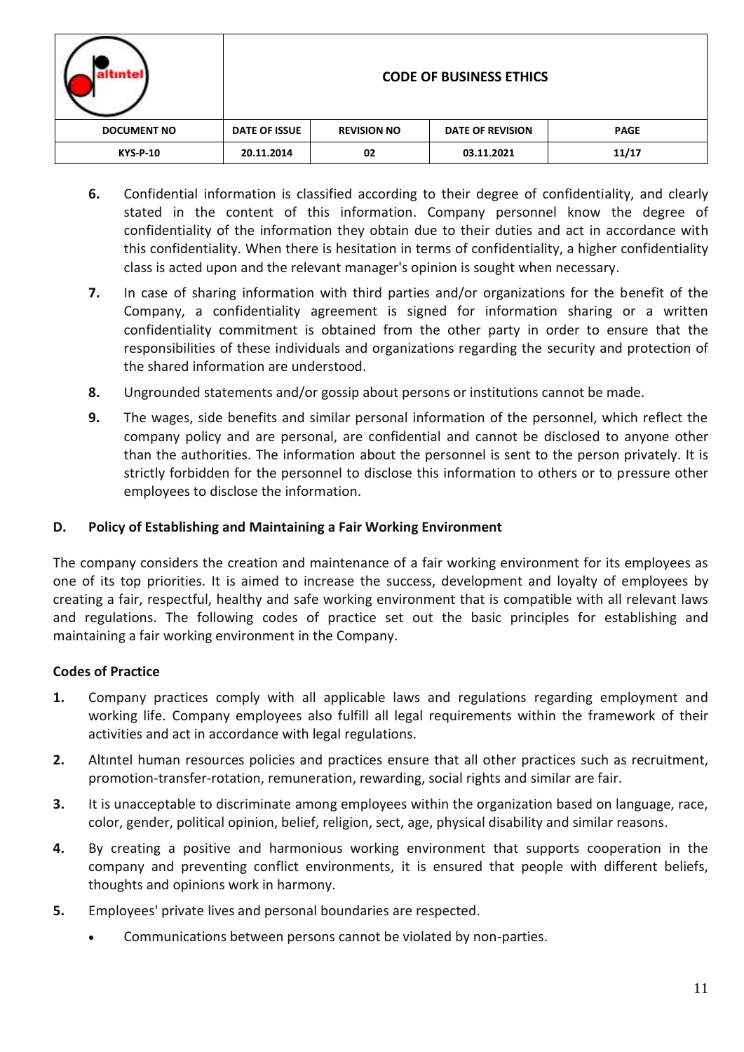| untel              | <b>CODE OF BUSINESS ETHICS</b> |                    |                         |             |  |
|--------------------|--------------------------------|--------------------|-------------------------|-------------|--|
| <b>DOCUMENT NO</b> | DATE OF ISSUE                  | <b>REVISION NO</b> | <b>DATE OF REVISION</b> | <b>PAGE</b> |  |
| <b>KYS-P-10</b>    | 20.11.2014                     | 02                 | 03.11.2021              | 11/17       |  |

- **6.** Confidential information is classified according to their degree of confidentiality, and clearly stated in the content of this information. Company personnel know the degree of confidentiality of the information they obtain due to their duties and act in accordance with this confidentiality. When there is hesitation in terms of confidentiality, a higher confidentiality class is acted upon and the relevant manager's opinion is sought when necessary.
- **7.** In case of sharing information with third parties and/or organizations for the benefit of the Company, a confidentiality agreement is signed for information sharing or a written confidentiality commitment is obtained from the other party in order to ensure that the responsibilities of these individuals and organizations regarding the security and protection of the shared information are understood.
- **8.** Ungrounded statements and/or gossip about persons or institutions cannot be made.
- **9.** The wages, side benefits and similar personal information of the personnel, which reflect the company policy and are personal, are confidential and cannot be disclosed to anyone other than the authorities. The information about the personnel is sent to the person privately. It is strictly forbidden for the personnel to disclose this information to others or to pressure other employees to disclose the information.

### **D. Policy of Establishing and Maintaining a Fair Working Environment**

The company considers the creation and maintenance of a fair working environment for its employees as one of its top priorities. It is aimed to increase the success, development and loyalty of employees by creating a fair, respectful, healthy and safe working environment that is compatible with all relevant laws and regulations. The following codes of practice set out the basic principles for establishing and maintaining a fair working environment in the Company.

### **Codes of Practice**

- **1.** Company practices comply with all applicable laws and regulations regarding employment and working life. Company employees also fulfill all legal requirements within the framework of their activities and act in accordance with legal regulations.
- **2.** Altıntel human resources policies and practices ensure that all other practices such as recruitment, promotion-transfer-rotation, remuneration, rewarding, social rights and similar are fair.
- **3.** It is unacceptable to discriminate among employees within the organization based on language, race, color, gender, political opinion, belief, religion, sect, age, physical disability and similar reasons.
- **4.** By creating a positive and harmonious working environment that supports cooperation in the company and preventing conflict environments, it is ensured that people with different beliefs, thoughts and opinions work in harmony.
- **5.** Employees' private lives and personal boundaries are respected.
	- Communications between persons cannot be violated by non-parties.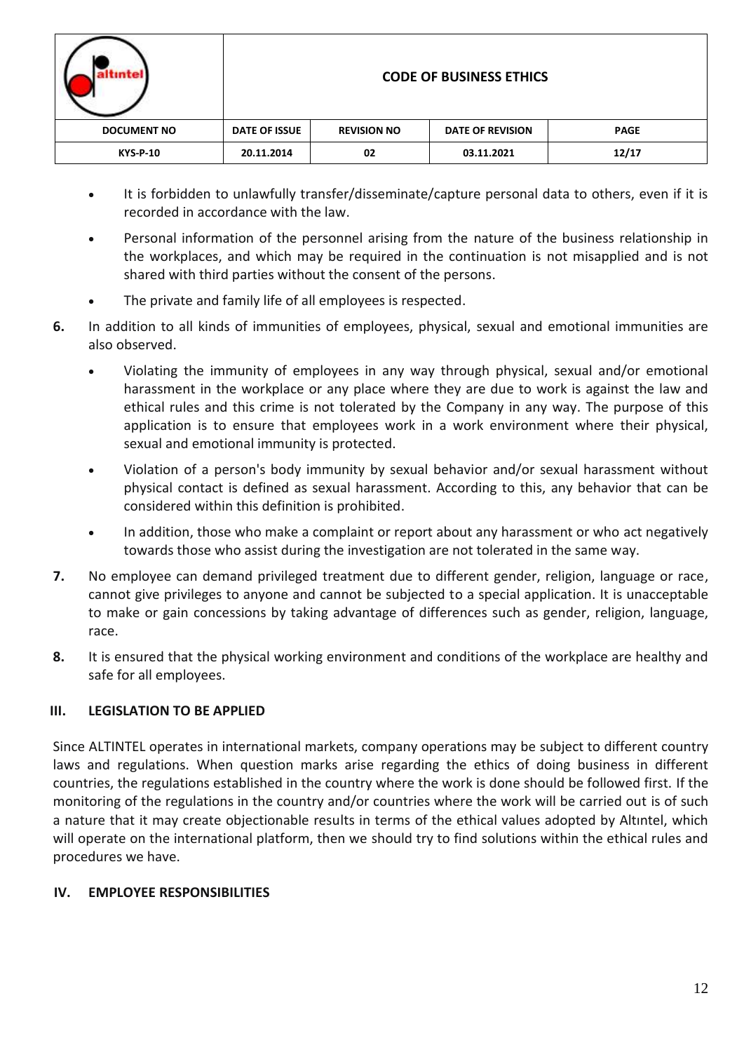| ntel               | <b>CODE OF BUSINESS ETHICS</b> |                    |                         |             |  |
|--------------------|--------------------------------|--------------------|-------------------------|-------------|--|
| <b>DOCUMENT NO</b> | DATE OF ISSUE                  | <b>REVISION NO</b> | <b>DATE OF REVISION</b> | <b>PAGE</b> |  |
| <b>KYS-P-10</b>    | 20.11.2014                     | 02                 | 03.11.2021              | 12/17       |  |

- It is forbidden to unlawfully transfer/disseminate/capture personal data to others, even if it is recorded in accordance with the law.
- Personal information of the personnel arising from the nature of the business relationship in the workplaces, and which may be required in the continuation is not misapplied and is not shared with third parties without the consent of the persons.
- The private and family life of all employees is respected.
- **6.** In addition to all kinds of immunities of employees, physical, sexual and emotional immunities are also observed.
	- Violating the immunity of employees in any way through physical, sexual and/or emotional harassment in the workplace or any place where they are due to work is against the law and ethical rules and this crime is not tolerated by the Company in any way. The purpose of this application is to ensure that employees work in a work environment where their physical, sexual and emotional immunity is protected.
	- Violation of a person's body immunity by sexual behavior and/or sexual harassment without physical contact is defined as sexual harassment. According to this, any behavior that can be considered within this definition is prohibited.
	- In addition, those who make a complaint or report about any harassment or who act negatively towards those who assist during the investigation are not tolerated in the same way.
- **7.** No employee can demand privileged treatment due to different gender, religion, language or race, cannot give privileges to anyone and cannot be subjected to a special application. It is unacceptable to make or gain concessions by taking advantage of differences such as gender, religion, language, race.
- **8.** It is ensured that the physical working environment and conditions of the workplace are healthy and safe for all employees.

# **III. LEGISLATION TO BE APPLIED**

Since ALTINTEL operates in international markets, company operations may be subject to different country laws and regulations. When question marks arise regarding the ethics of doing business in different countries, the regulations established in the country where the work is done should be followed first. If the monitoring of the regulations in the country and/or countries where the work will be carried out is of such a nature that it may create objectionable results in terms of the ethical values adopted by Altıntel, which will operate on the international platform, then we should try to find solutions within the ethical rules and procedures we have.

# **IV. EMPLOYEE RESPONSIBILITIES**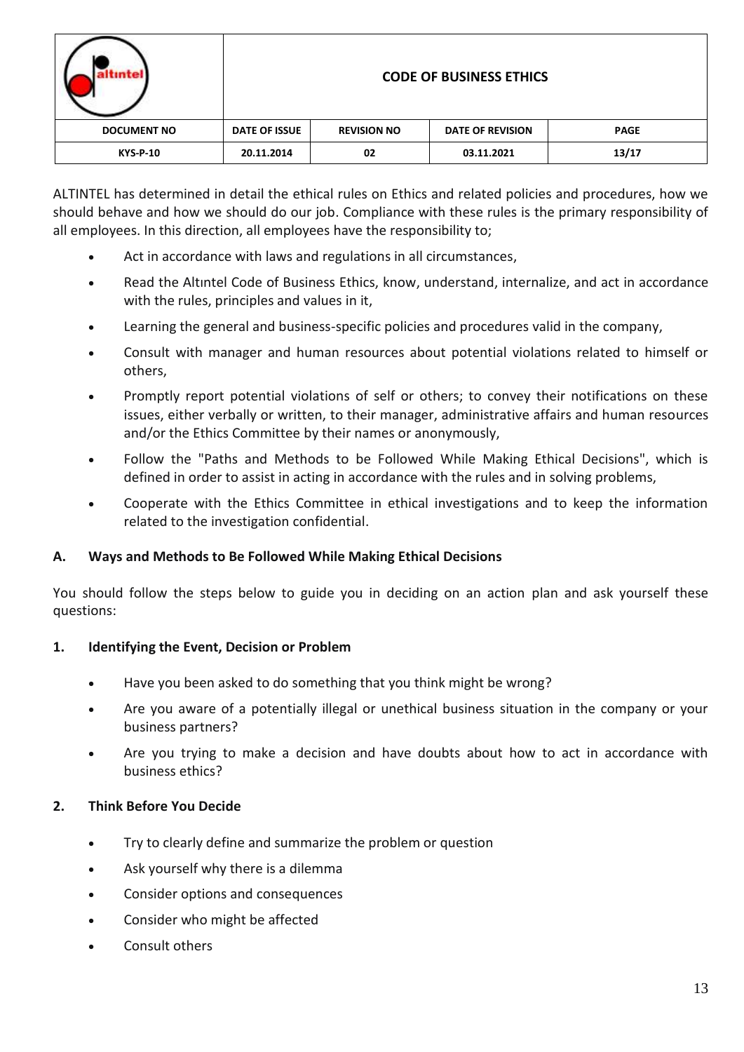| ntel               | <b>CODE OF BUSINESS ETHICS</b> |                    |                         |             |  |
|--------------------|--------------------------------|--------------------|-------------------------|-------------|--|
| <b>DOCUMENT NO</b> | DATE OF ISSUE                  | <b>REVISION NO</b> | <b>DATE OF REVISION</b> | <b>PAGE</b> |  |
| <b>KYS-P-10</b>    | 20.11.2014                     | 02                 | 03.11.2021              | 13/17       |  |

ALTINTEL has determined in detail the ethical rules on Ethics and related policies and procedures, how we should behave and how we should do our job. Compliance with these rules is the primary responsibility of all employees. In this direction, all employees have the responsibility to;

- Act in accordance with laws and regulations in all circumstances,
- Read the Altıntel Code of Business Ethics, know, understand, internalize, and act in accordance with the rules, principles and values in it,
- Learning the general and business-specific policies and procedures valid in the company,
- Consult with manager and human resources about potential violations related to himself or others,
- Promptly report potential violations of self or others; to convey their notifications on these issues, either verbally or written, to their manager, administrative affairs and human resources and/or the Ethics Committee by their names or anonymously,
- Follow the "Paths and Methods to be Followed While Making Ethical Decisions", which is defined in order to assist in acting in accordance with the rules and in solving problems,
- Cooperate with the Ethics Committee in ethical investigations and to keep the information related to the investigation confidential.

### **A. Ways and Methods to Be Followed While Making Ethical Decisions**

You should follow the steps below to guide you in deciding on an action plan and ask yourself these questions:

### **1. Identifying the Event, Decision or Problem**

- Have you been asked to do something that you think might be wrong?
- Are you aware of a potentially illegal or unethical business situation in the company or your business partners?
- Are you trying to make a decision and have doubts about how to act in accordance with business ethics?

### **2. Think Before You Decide**

- Try to clearly define and summarize the problem or question
- Ask yourself why there is a dilemma
- Consider options and consequences
- Consider who might be affected
- Consult others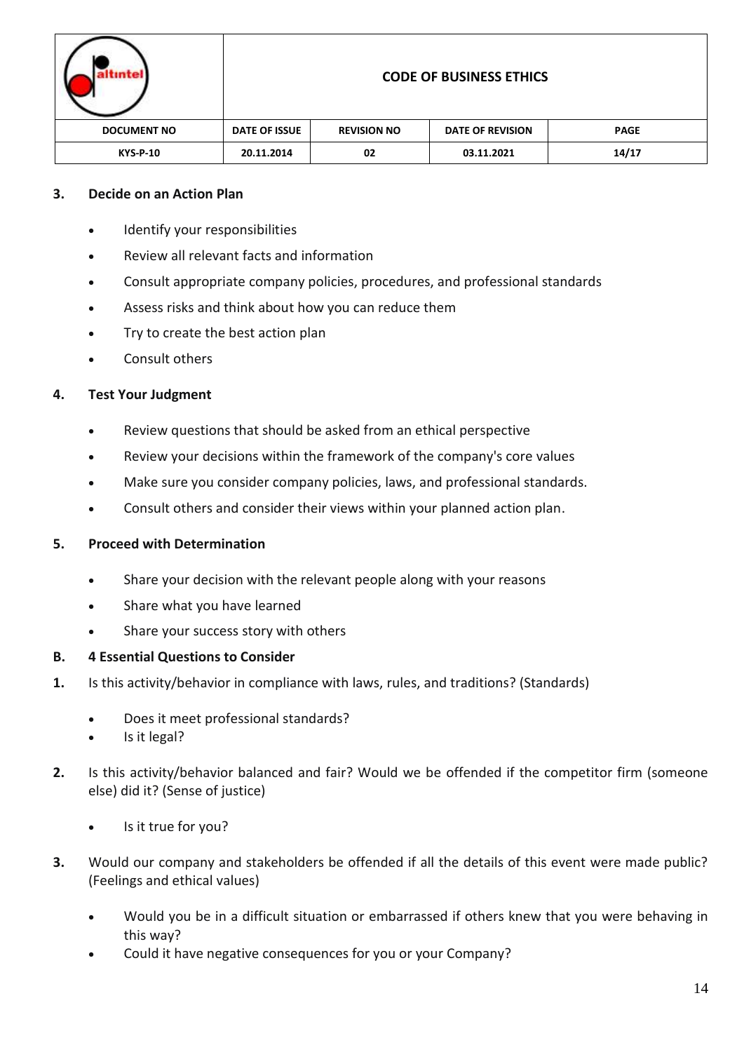| intel              | <b>CODE OF BUSINESS ETHICS</b> |                    |                         |             |  |
|--------------------|--------------------------------|--------------------|-------------------------|-------------|--|
| <b>DOCUMENT NO</b> | DATE OF ISSUE                  | <b>REVISION NO</b> | <b>DATE OF REVISION</b> | <b>PAGE</b> |  |
| <b>KYS-P-10</b>    | 20.11.2014                     | 02                 | 03.11.2021              | 14/17       |  |

### **3. Decide on an Action Plan**

- Identify your responsibilities
- Review all relevant facts and information
- Consult appropriate company policies, procedures, and professional standards
- Assess risks and think about how you can reduce them
- Try to create the best action plan
- Consult others

### **4. Test Your Judgment**

- Review questions that should be asked from an ethical perspective
- Review your decisions within the framework of the company's core values
- Make sure you consider company policies, laws, and professional standards.
- Consult others and consider their views within your planned action plan.

### **5. Proceed with Determination**

- Share your decision with the relevant people along with your reasons
- Share what you have learned
- Share your success story with others

### **B. 4 Essential Questions to Consider**

- **1.** Is this activity/behavior in compliance with laws, rules, and traditions? (Standards)
	- Does it meet professional standards?
	- Is it legal?
- **2.** Is this activity/behavior balanced and fair? Would we be offended if the competitor firm (someone else) did it? (Sense of justice)
	- Is it true for you?
- **3.** Would our company and stakeholders be offended if all the details of this event were made public? (Feelings and ethical values)
	- Would you be in a difficult situation or embarrassed if others knew that you were behaving in this way?
	- Could it have negative consequences for you or your Company?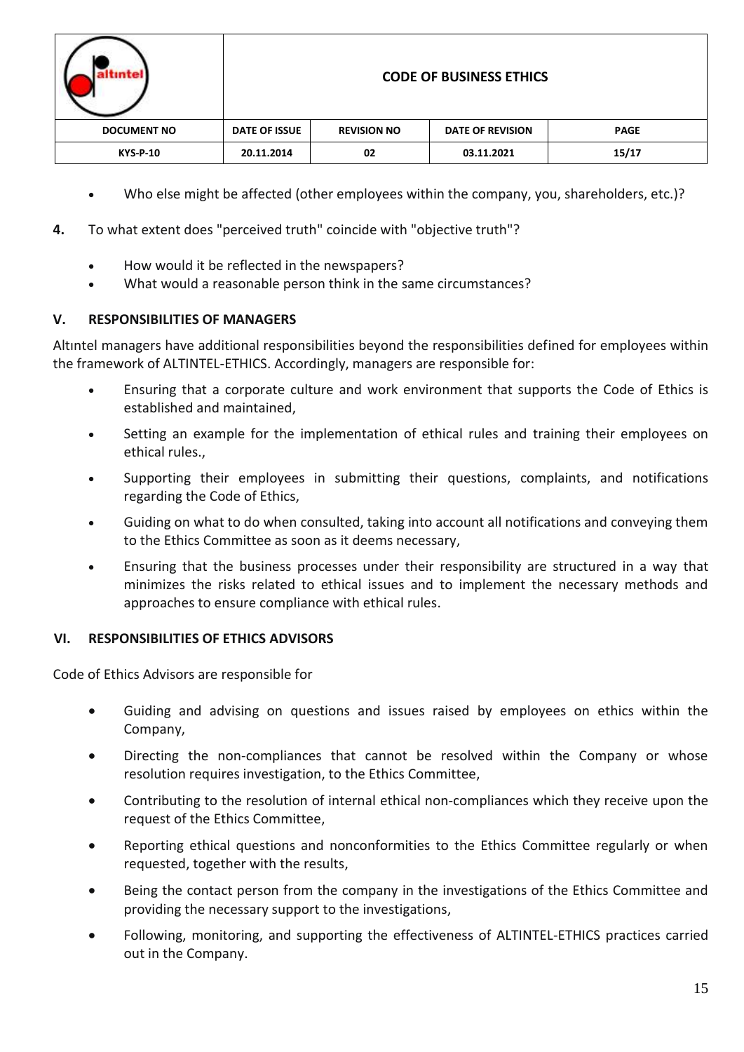| intel              |                   |
|--------------------|-------------------|
| <b>DOCUMENT NO</b> | DATE <sub>(</sub> |
| <b>KYS-P-10</b>    | 20.1              |

### **CODE OF BUSINESS ETHICS**

| <b>DOCUMENT NO</b> | DATE OF ISSUE | <b>REVISION NO</b> | <b>DATE OF REVISION</b> | <b>PAGE</b> |
|--------------------|---------------|--------------------|-------------------------|-------------|
| <b>KYS-P-10</b>    | 20.11.2014    | 02                 | 03.11.2021              | 15/17       |
|                    |               |                    |                         |             |

- Who else might be affected (other employees within the company, you, shareholders, etc.)?
- **4.** To what extent does "perceived truth" coincide with "objective truth"?
	- How would it be reflected in the newspapers?
	- What would a reasonable person think in the same circumstances?

# **V. RESPONSIBILITIES OF MANAGERS**

Altıntel managers have additional responsibilities beyond the responsibilities defined for employees within the framework of ALTINTEL-ETHICS. Accordingly, managers are responsible for:

- Ensuring that a corporate culture and work environment that supports the Code of Ethics is established and maintained,
- Setting an example for the implementation of ethical rules and training their employees on ethical rules.,
- Supporting their employees in submitting their questions, complaints, and notifications regarding the Code of Ethics,
- Guiding on what to do when consulted, taking into account all notifications and conveying them to the Ethics Committee as soon as it deems necessary,
- Ensuring that the business processes under their responsibility are structured in a way that minimizes the risks related to ethical issues and to implement the necessary methods and approaches to ensure compliance with ethical rules.

# **VI. RESPONSIBILITIES OF ETHICS ADVISORS**

Code of Ethics Advisors are responsible for

- Guiding and advising on questions and issues raised by employees on ethics within the Company,
- Directing the non-compliances that cannot be resolved within the Company or whose resolution requires investigation, to the Ethics Committee,
- Contributing to the resolution of internal ethical non-compliances which they receive upon the request of the Ethics Committee,
- Reporting ethical questions and nonconformities to the Ethics Committee regularly or when requested, together with the results,
- Being the contact person from the company in the investigations of the Ethics Committee and providing the necessary support to the investigations,
- Following, monitoring, and supporting the effectiveness of ALTINTEL-ETHICS practices carried out in the Company.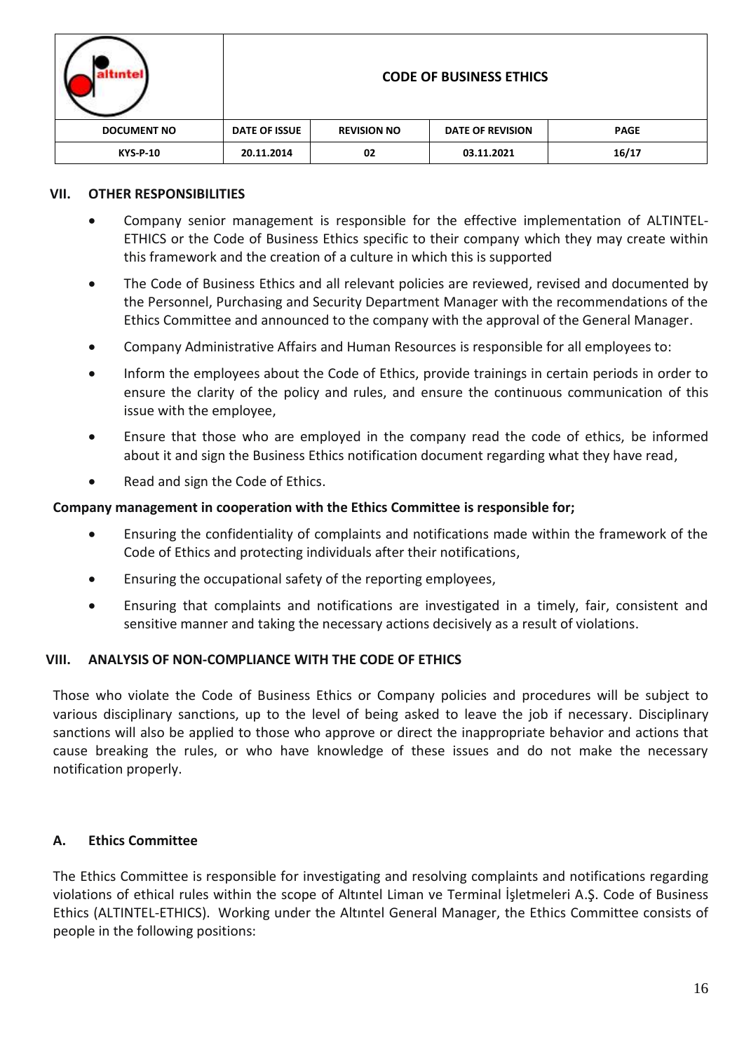| <b>ntel</b>        | <b>CODE OF BUSINESS ETHICS</b> |                    |                         |             |  |
|--------------------|--------------------------------|--------------------|-------------------------|-------------|--|
| <b>DOCUMENT NO</b> | <b>DATE OF ISSUE</b>           | <b>REVISION NO</b> | <b>DATE OF REVISION</b> | <b>PAGE</b> |  |
| <b>KYS-P-10</b>    | 20.11.2014                     | 02                 | 03.11.2021              | 16/17       |  |

#### **VII. OTHER RESPONSIBILITIES**

- Company senior management is responsible for the effective implementation of ALTINTEL-ETHICS or the Code of Business Ethics specific to their company which they may create within this framework and the creation of a culture in which this is supported
- The Code of Business Ethics and all relevant policies are reviewed, revised and documented by the Personnel, Purchasing and Security Department Manager with the recommendations of the Ethics Committee and announced to the company with the approval of the General Manager.
- Company Administrative Affairs and Human Resources is responsible for all employees to:
- Inform the employees about the Code of Ethics, provide trainings in certain periods in order to ensure the clarity of the policy and rules, and ensure the continuous communication of this issue with the employee,
- Ensure that those who are employed in the company read the code of ethics, be informed about it and sign the Business Ethics notification document regarding what they have read,
- Read and sign the Code of Ethics.

#### **Company management in cooperation with the Ethics Committee is responsible for;**

- Ensuring the confidentiality of complaints and notifications made within the framework of the Code of Ethics and protecting individuals after their notifications,
- Ensuring the occupational safety of the reporting employees,
- Ensuring that complaints and notifications are investigated in a timely, fair, consistent and sensitive manner and taking the necessary actions decisively as a result of violations.

#### **VIII. ANALYSIS OF NON-COMPLIANCE WITH THE CODE OF ETHICS**

Those who violate the Code of Business Ethics or Company policies and procedures will be subject to various disciplinary sanctions, up to the level of being asked to leave the job if necessary. Disciplinary sanctions will also be applied to those who approve or direct the inappropriate behavior and actions that cause breaking the rules, or who have knowledge of these issues and do not make the necessary notification properly.

### **A. Ethics Committee**

The Ethics Committee is responsible for investigating and resolving complaints and notifications regarding violations of ethical rules within the scope of Altıntel Liman ve Terminal İşletmeleri A.Ş. Code of Business Ethics (ALTINTEL-ETHICS). Working under the Altıntel General Manager, the Ethics Committee consists of people in the following positions: